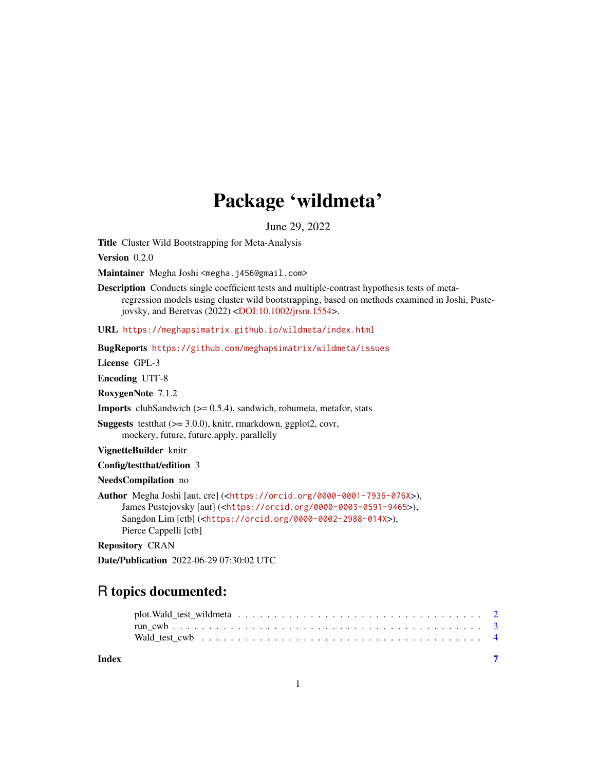# Package 'wildmeta'

June 29, 2022

Title Cluster Wild Bootstrapping for Meta-Analysis

Version 0.2.0

Maintainer Megha Joshi <megha.j456@gmail.com>

Description Conducts single coefficient tests and multiple-contrast hypothesis tests of metaregression models using cluster wild bootstrapping, based on methods examined in Joshi, Puste-jovsky, and Beretvas (2022) [<DOI:10.1002/jrsm.1554>](https://doi.org/10.1002/jrsm.1554).

URL <https://meghapsimatrix.github.io/wildmeta/index.html>

BugReports <https://github.com/meghapsimatrix/wildmeta/issues>

License GPL-3

Encoding UTF-8

RoxygenNote 7.1.2

**Imports** clubSandwich  $(>= 0.5.4)$ , sandwich, robumeta, metafor, stats

**Suggests** testthat  $(>= 3.0.0)$ , knitr, rmarkdown, ggplot2, covr, mockery, future, future.apply, parallelly

VignetteBuilder knitr

Config/testthat/edition 3

NeedsCompilation no

Author Megha Joshi [aut, cre] (<<https://orcid.org/0000-0001-7936-076X>>), James Pustejovsky [aut] (<<https://orcid.org/0000-0003-0591-9465>>), Sangdon Lim [ctb] (<<https://orcid.org/0000-0002-2988-014X>>), Pierce Cappelli [ctb]

Repository CRAN

Date/Publication 2022-06-29 07:30:02 UTC

## R topics documented:

| Index |  |  |  |  |  |  |  |  |  |  |  |  |  | $\overline{7}$ |  |
|-------|--|--|--|--|--|--|--|--|--|--|--|--|--|----------------|--|
|       |  |  |  |  |  |  |  |  |  |  |  |  |  |                |  |
|       |  |  |  |  |  |  |  |  |  |  |  |  |  |                |  |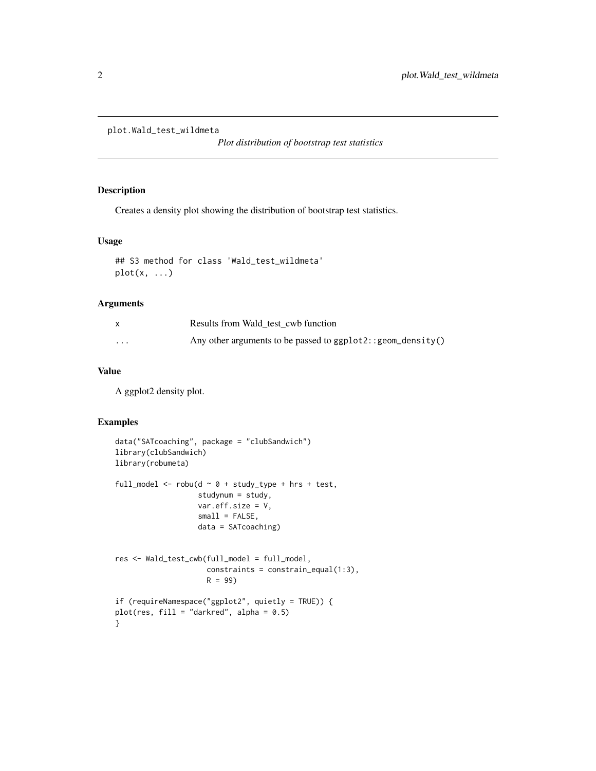```
plot.Wald_test_wildmeta
```
*Plot distribution of bootstrap test statistics*

#### Description

Creates a density plot showing the distribution of bootstrap test statistics.

#### Usage

```
## S3 method for class 'Wald_test_wildmeta'
plot(x, ...)
```
#### Arguments

|          | Results from Wald test cwb function                            |
|----------|----------------------------------------------------------------|
| $\cdots$ | Any other arguments to be passed to $ggplot2::geom\_density()$ |

#### Value

A ggplot2 density plot.

#### Examples

```
data("SATcoaching", package = "clubSandwich")
library(clubSandwich)
library(robumeta)
full_model <- robu(d \sim \emptyset + study_type + hrs + test,studynum = study,
                   var.eff.size = V,
                   small = FALSE,data = SATcoaching)
res <- Wald_test_cwb(full_model = full_model,
                     constrains = constant\_equal(1:3),
                     R = 99if (requireNamespace("ggplot2", quietly = TRUE)) {
plot(res, fill = "darkred", alpha = 0.5)
}
```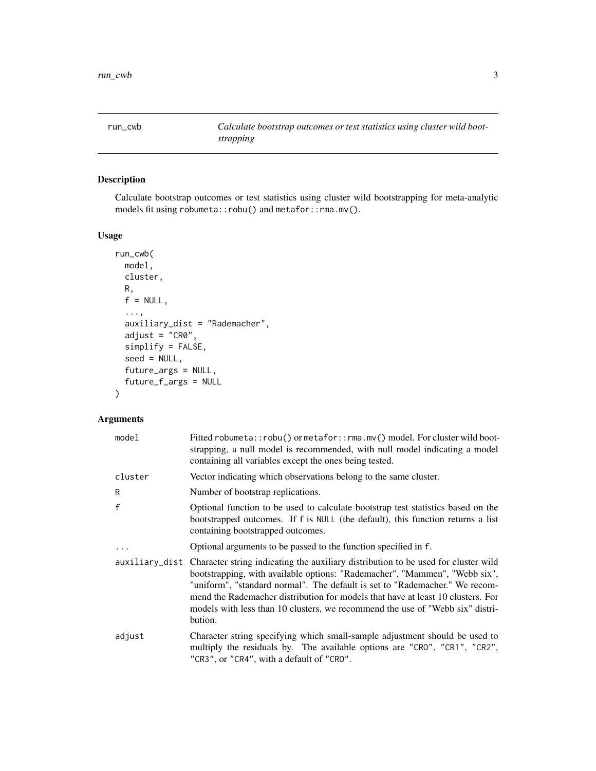<span id="page-2-0"></span>run\_cwb *Calculate bootstrap outcomes or test statistics using cluster wild bootstrapping*

#### Description

Calculate bootstrap outcomes or test statistics using cluster wild bootstrapping for meta-analytic models fit using robumeta::robu() and metafor::rma.mv().

#### Usage

```
run_cwb(
 model,
 cluster,
 R,
 f = NULL,...,
  auxiliary_dist = "Rademacher",
  adjust = "CR0",
  simplify = FALSE,
  seed = NULL,
  future_args = NULL,
  future_f_args = NULL
)
```
#### Arguments

| model        | Fitted robumeta::robu() or metafor::rma.mv() model. For cluster wild boot-<br>strapping, a null model is recommended, with null model indicating a model<br>containing all variables except the ones being tested.                                                                                                                                                                                                                            |
|--------------|-----------------------------------------------------------------------------------------------------------------------------------------------------------------------------------------------------------------------------------------------------------------------------------------------------------------------------------------------------------------------------------------------------------------------------------------------|
| cluster      | Vector indicating which observations belong to the same cluster.                                                                                                                                                                                                                                                                                                                                                                              |
| R            | Number of bootstrap replications.                                                                                                                                                                                                                                                                                                                                                                                                             |
| $\mathsf{f}$ | Optional function to be used to calculate bootstrap test statistics based on the<br>bootstrapped outcomes. If f is NULL (the default), this function returns a list<br>containing bootstrapped outcomes.                                                                                                                                                                                                                                      |
| $\ddots$     | Optional arguments to be passed to the function specified in f.                                                                                                                                                                                                                                                                                                                                                                               |
|              | auxiliary_dist Character string indicating the auxiliary distribution to be used for cluster wild<br>bootstrapping, with available options: "Rademacher", "Mammen", "Webb six",<br>"uniform", "standard normal". The default is set to "Rademacher." We recom-<br>mend the Rademacher distribution for models that have at least 10 clusters. For<br>models with less than 10 clusters, we recommend the use of "Webb six" distri-<br>bution. |
| adjust       | Character string specifying which small-sample adjustment should be used to<br>multiply the residuals by. The available options are "CRO", "CR1", "CR2",<br>"CR3", or "CR4", with a default of "CRO".                                                                                                                                                                                                                                         |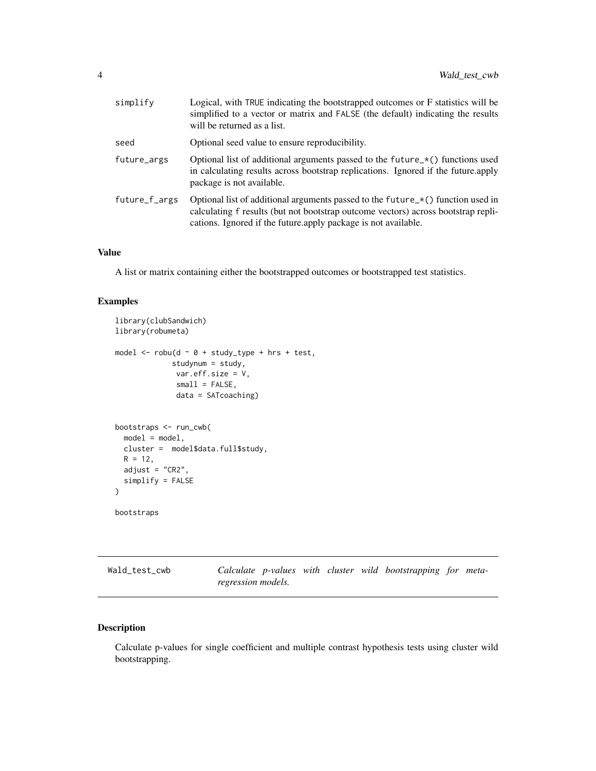<span id="page-3-0"></span>

| simplify      | Logical, with TRUE indicating the bootstrapped outcomes or F statistics will be<br>simplified to a vector or matrix and FALSE (the default) indicating the results<br>will be returned as a list.                                      |
|---------------|----------------------------------------------------------------------------------------------------------------------------------------------------------------------------------------------------------------------------------------|
| seed          | Optional seed value to ensure reproducibility.                                                                                                                                                                                         |
| future_args   | Optional list of additional arguments passed to the future $\angle$ *() functions used<br>in calculating results across bootstrap replications. Ignored if the future apply<br>package is not available.                               |
| future_f_args | Optional list of additional arguments passed to the future_*() function used in<br>calculating f results (but not bootstrap outcome vectors) across bootstrap repli-<br>cations. Ignored if the future apply package is not available. |
|               |                                                                                                                                                                                                                                        |

#### Value

A list or matrix containing either the bootstrapped outcomes or bootstrapped test statistics.

#### Examples

```
library(clubSandwich)
library(robumeta)
model \leq robu(d \sim 0 + study_type + hrs + test,
             studynum = study,
              var.eff.size = V,
              small = FALSE,
              data = SATcoaching)
bootstraps <- run_cwb(
  model = model,
 cluster = model$data.full$study,
 R = 12,
  adjust = "CR2",simplify = FALSE
)
bootstraps
```
Wald\_test\_cwb *Calculate p-values with cluster wild bootstrapping for metaregression models.*

#### Description

Calculate p-values for single coefficient and multiple contrast hypothesis tests using cluster wild bootstrapping.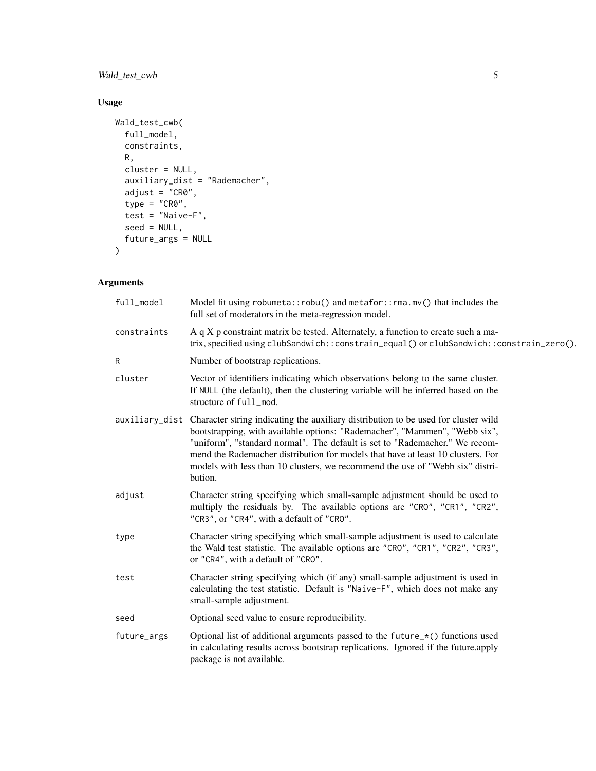#### Wald\_test\_cwb 5

#### Usage

```
Wald_test_cwb(
  full_model,
  constraints,
  R,
 cluster = NULL,
  auxiliary_dist = "Rademacher",
  adjust = "CR0",
  type = "CRO",test = "Naive-F",
  seed = NULL,
  future_args = NULL
\mathcal{L}
```
### Arguments

| full_model  | Model fit using robumeta::robu() and metafor::rma.mv() that includes the<br>full set of moderators in the meta-regression model.                                                                                                                                                                                                                                                                                                              |
|-------------|-----------------------------------------------------------------------------------------------------------------------------------------------------------------------------------------------------------------------------------------------------------------------------------------------------------------------------------------------------------------------------------------------------------------------------------------------|
| constraints | A q X p constraint matrix be tested. Alternately, a function to create such a ma-<br>trix, specified using clubSandwich::constrain_equal() or clubSandwich::constrain_zero().                                                                                                                                                                                                                                                                 |
| R           | Number of bootstrap replications.                                                                                                                                                                                                                                                                                                                                                                                                             |
| cluster     | Vector of identifiers indicating which observations belong to the same cluster.<br>If NULL (the default), then the clustering variable will be inferred based on the<br>structure of full mod.                                                                                                                                                                                                                                                |
|             | auxiliary_dist Character string indicating the auxiliary distribution to be used for cluster wild<br>bootstrapping, with available options: "Rademacher", "Mammen", "Webb six",<br>"uniform", "standard normal". The default is set to "Rademacher." We recom-<br>mend the Rademacher distribution for models that have at least 10 clusters. For<br>models with less than 10 clusters, we recommend the use of "Webb six" distri-<br>bution. |
| adjust      | Character string specifying which small-sample adjustment should be used to<br>multiply the residuals by. The available options are "CRO", "CR1", "CR2",<br>"CR3", or "CR4", with a default of "CRO".                                                                                                                                                                                                                                         |
| type        | Character string specifying which small-sample adjustment is used to calculate<br>the Wald test statistic. The available options are "CRO", "CR1", "CR2", "CR3",<br>or "CR4", with a default of "CRO".                                                                                                                                                                                                                                        |
| test        | Character string specifying which (if any) small-sample adjustment is used in<br>calculating the test statistic. Default is "Naive-F", which does not make any<br>small-sample adjustment.                                                                                                                                                                                                                                                    |
| seed        | Optional seed value to ensure reproducibility.                                                                                                                                                                                                                                                                                                                                                                                                |
| future_args | Optional list of additional arguments passed to the future $\pm$ () functions used<br>in calculating results across bootstrap replications. Ignored if the future apply<br>package is not available.                                                                                                                                                                                                                                          |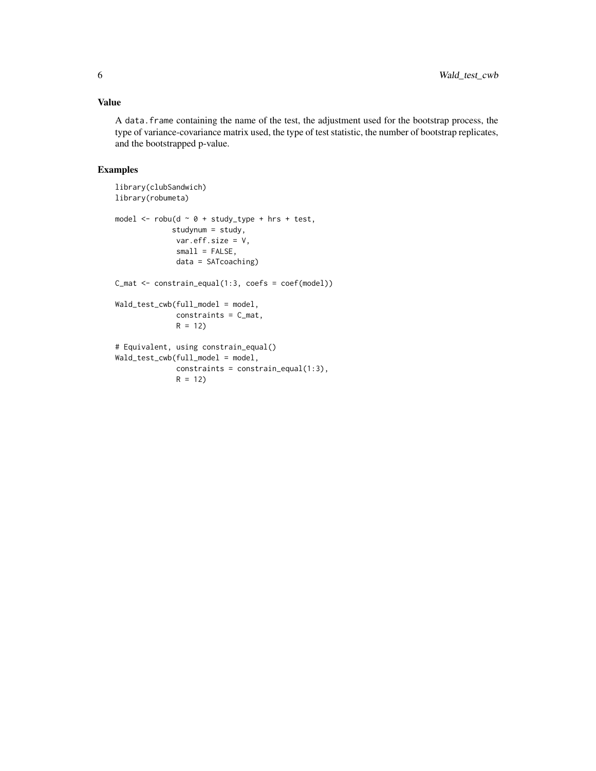#### Value

A data.frame containing the name of the test, the adjustment used for the bootstrap process, the type of variance-covariance matrix used, the type of test statistic, the number of bootstrap replicates, and the bootstrapped p-value.

#### Examples

```
library(clubSandwich)
library(robumeta)
model \le robu(d \sim 0 + study_type + hrs + test,
             studynum = study,
             var.eff.size = V,
              small = FALSE,
             data = SATcoaching)
C_mat <- constrain_equal(1:3, coefs = coef(model))
Wald_test_cwb(full_model = model,
              constraints = C_mat,
              R = 12# Equivalent, using constrain_equal()
Wald_test_cwb(full_model = model,
              constraints = constrain_equal(1:3),
              R = 12
```